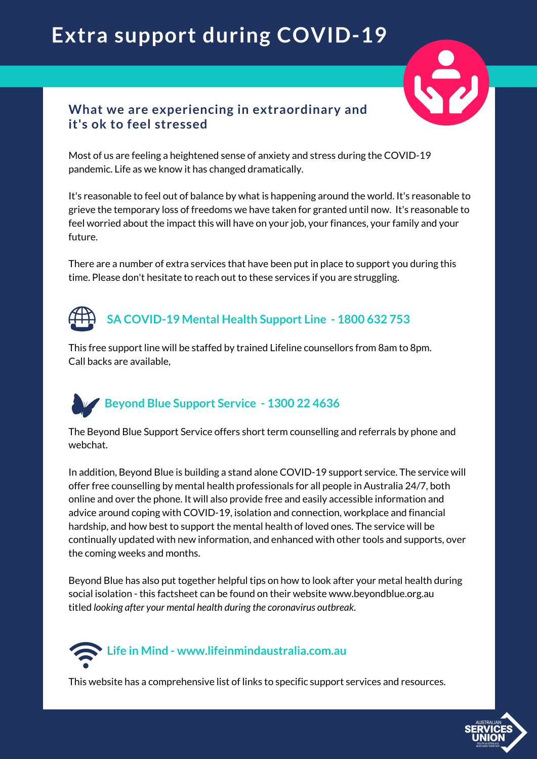## **Extra support during COVID-19**



### **What we are experiencing in extraordinary and it's ok to feel stressed**

Most of us are feeling a heightened sense of anxiety and stress during the COVID-19 pandemic. Life as we know it has changed dramatically.

It's reasonable to feel out of balance by what is happening around the world. It's reasonable to grieve the temporary loss of freedoms we have taken for granted until now. It's reasonable to feel worried about the impact this will have on your job, your finances, your family and your future.

There are a number of extra services that have been put in place to support you during this time. Please don't hesitate to reach out to these services if you are struggling.

## **SA COVID-19 Mental Health Support Line - 1800 632 753**

This free support line will be staffed by trained Lifeline counsellors from 8am to 8pm. Call backs are available,

## **Beyond Blue Support Service - 1300 22 4636**

The Beyond Blue Support Service offers short term counselling and referrals by phone and webchat.

In addition, Beyond Blue is building a stand alone COVID-19 support service. The service will offer free counselling by mental health professionals for all people in Australia 24/7, both online and over the phone. It will also provide free and easily accessible information and advice around coping with COVID-19, isolation and connection, workplace and financial hardship, and how best to support the mental health of loved ones. The service will be continually updated with new information, and enhanced with other tools and supports, over the coming weeks and months.

Beyond Blue has also put together helpful tips on how to look after your metal health during social isolation - this factsheet can be found on their website www.beyondblue.org.au titled *looking after your mental health during the coronavirus outbreak*.

# **Life in Mind - www.lifeinmindaustralia.com.au**

This website has a comprehensive list of links to specific support services and resources.